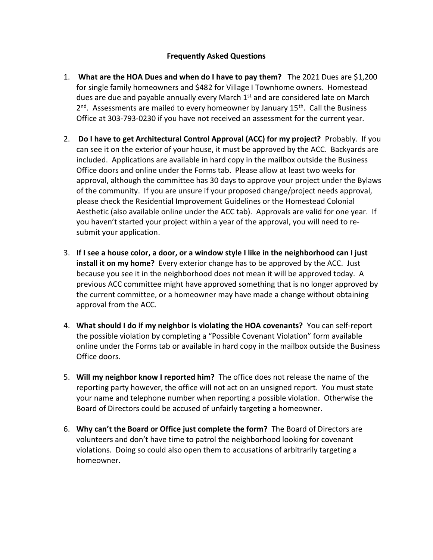## Frequently Asked Questions

- 1. What are the HOA Dues and when do I have to pay them? The 2021 Dues are \$1,200 for single family homeowners and \$482 for Village I Townhome owners. Homestead dues are due and payable annually every March 1st and are considered late on March 2<sup>nd</sup>. Assessments are mailed to every homeowner by January 15<sup>th</sup>. Call the Business Office at 303-793-0230 if you have not received an assessment for the current year.
- 2. Do I have to get Architectural Control Approval (ACC) for my project? Probably. If you can see it on the exterior of your house, it must be approved by the ACC. Backyards are included. Applications are available in hard copy in the mailbox outside the Business Office doors and online under the Forms tab. Please allow at least two weeks for approval, although the committee has 30 days to approve your project under the Bylaws of the community. If you are unsure if your proposed change/project needs approval, please check the Residential Improvement Guidelines or the Homestead Colonial Aesthetic (also available online under the ACC tab). Approvals are valid for one year. If you haven't started your project within a year of the approval, you will need to resubmit your application.
- 3. If I see a house color, a door, or a window style I like in the neighborhood can I just install it on my home? Every exterior change has to be approved by the ACC. Just because you see it in the neighborhood does not mean it will be approved today. A previous ACC committee might have approved something that is no longer approved by the current committee, or a homeowner may have made a change without obtaining approval from the ACC.
- 4. What should I do if my neighbor is violating the HOA covenants? You can self-report the possible violation by completing a "Possible Covenant Violation" form available online under the Forms tab or available in hard copy in the mailbox outside the Business Office doors.
- 5. Will my neighbor know I reported him? The office does not release the name of the reporting party however, the office will not act on an unsigned report. You must state your name and telephone number when reporting a possible violation. Otherwise the Board of Directors could be accused of unfairly targeting a homeowner.
- 6. Why can't the Board or Office just complete the form? The Board of Directors are volunteers and don't have time to patrol the neighborhood looking for covenant violations. Doing so could also open them to accusations of arbitrarily targeting a homeowner.